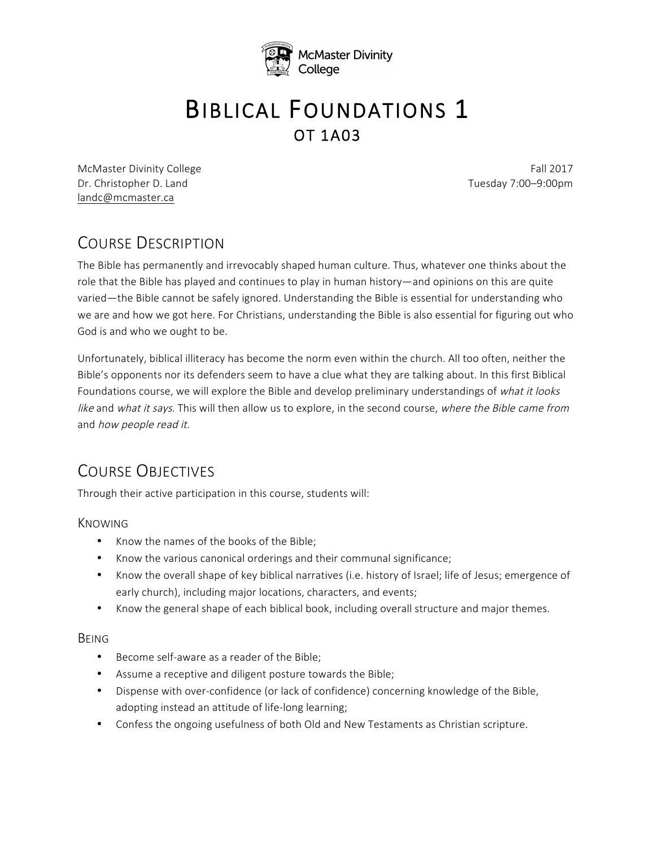

# **BIBLICAL FOUNDATIONS 1**

McMaster Divinity College Fall 2017 Dr. Christopher D. Land Tuesday 7:00–9:00pm landc@mcmaster.ca

# COURSE DESCRIPTION

The Bible has permanently and irrevocably shaped human culture. Thus, whatever one thinks about the role that the Bible has played and continues to play in human history—and opinions on this are quite varied—the Bible cannot be safely ignored. Understanding the Bible is essential for understanding who we are and how we got here. For Christians, understanding the Bible is also essential for figuring out who God is and who we ought to be.

Unfortunately, biblical illiteracy has become the norm even within the church. All too often, neither the Bible's opponents nor its defenders seem to have a clue what they are talking about. In this first Biblical Foundations course, we will explore the Bible and develop preliminary understandings of what it looks like and what it says. This will then allow us to explore, in the second course, where the Bible came from and how people read it.

# COURSE OBJECTIVES

Through their active participation in this course, students will:

KNOWING

- Know the names of the books of the Bible;
- Know the various canonical orderings and their communal significance;
- Know the overall shape of key biblical narratives (i.e. history of Israel; life of Jesus; emergence of early church), including major locations, characters, and events;
- Know the general shape of each biblical book, including overall structure and major themes.

#### BEING

- Become self-aware as a reader of the Bible;
- Assume a receptive and diligent posture towards the Bible;
- Dispense with over-confidence (or lack of confidence) concerning knowledge of the Bible, adopting instead an attitude of life-long learning;
- Confess the ongoing usefulness of both Old and New Testaments as Christian scripture.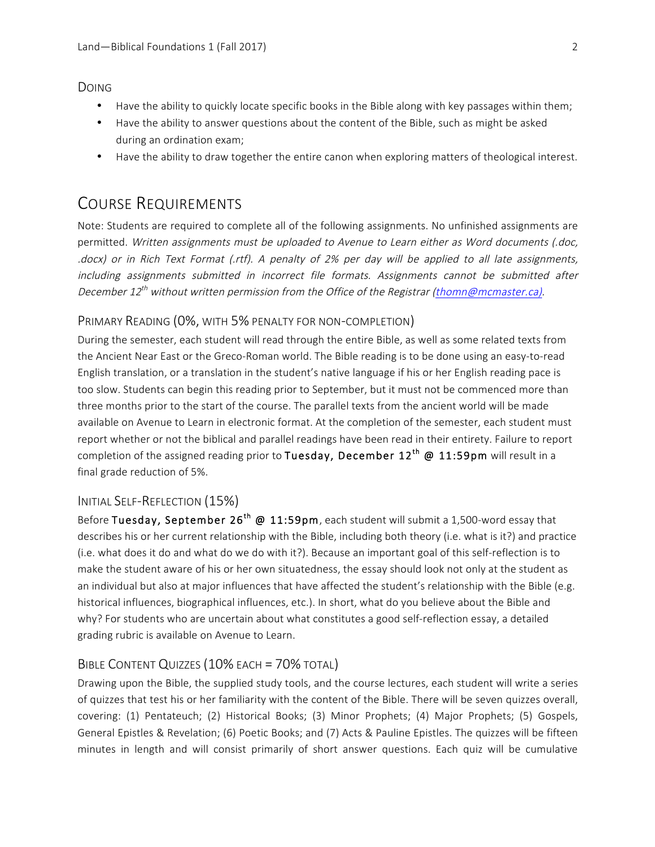DOING

- Have the ability to quickly locate specific books in the Bible along with key passages within them;
- Have the ability to answer questions about the content of the Bible, such as might be asked during an ordination exam;
- Have the ability to draw together the entire canon when exploring matters of theological interest.

# COURSE REQUIREMENTS

Note: Students are required to complete all of the following assignments. No unfinished assignments are permitted. Written assignments must be uploaded to Avenue to Learn either as Word documents (.doc, .docx) or in Rich Text Format (.rtf). A penalty of 2% per day will be applied to all late assignments, including assignments submitted in incorrect file formats. Assignments cannot be submitted after December 12 $^{th}$  without written permission from the Office of the Registrar (thomn@mcmaster.ca).

#### PRIMARY READING (0%, WITH 5% PENALTY FOR NON-COMPLETION)

During the semester, each student will read through the entire Bible, as well as some related texts from the Ancient Near East or the Greco-Roman world. The Bible reading is to be done using an easy-to-read English translation, or a translation in the student's native language if his or her English reading pace is too slow. Students can begin this reading prior to September, but it must not be commenced more than three months prior to the start of the course. The parallel texts from the ancient world will be made available on Avenue to Learn in electronic format. At the completion of the semester, each student must report whether or not the biblical and parallel readings have been read in their entirety. Failure to report completion of the assigned reading prior to Tuesday, December  $12^{th}$  @  $11:59$ pm will result in a final grade reduction of 5%.

#### INITIAL SELF-REFLECTION (15%)

Before Tuesday, September 26<sup>th</sup> @ 11:59pm, each student will submit a 1,500-word essay that describes his or her current relationship with the Bible, including both theory (i.e. what is it?) and practice (i.e. what does it do and what do we do with it?). Because an important goal of this self-reflection is to make the student aware of his or her own situatedness, the essay should look not only at the student as an individual but also at major influences that have affected the student's relationship with the Bible (e.g. historical influences, biographical influences, etc.). In short, what do you believe about the Bible and why? For students who are uncertain about what constitutes a good self-reflection essay, a detailed grading rubric is available on Avenue to Learn.

#### BIBLE CONTENT QUIZZES (10% EACH = 70% TOTAL)

Drawing upon the Bible, the supplied study tools, and the course lectures, each student will write a series of quizzes that test his or her familiarity with the content of the Bible. There will be seven quizzes overall, covering: (1) Pentateuch; (2) Historical Books; (3) Minor Prophets; (4) Major Prophets; (5) Gospels, General Epistles & Revelation; (6) Poetic Books; and (7) Acts & Pauline Epistles. The quizzes will be fifteen minutes in length and will consist primarily of short answer questions. Each quiz will be cumulative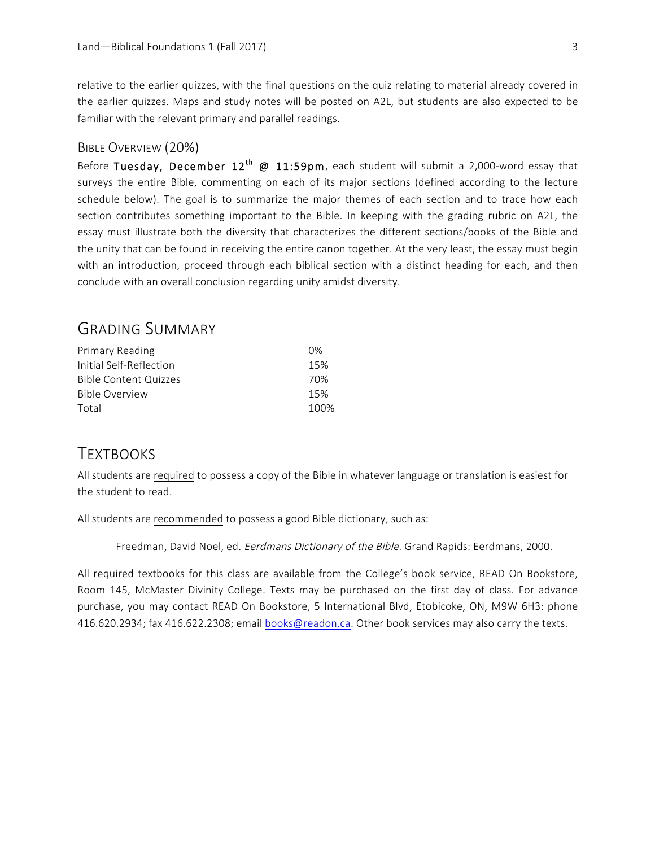relative to the earlier quizzes, with the final questions on the quiz relating to material already covered in the earlier quizzes. Maps and study notes will be posted on A2L, but students are also expected to be familiar with the relevant primary and parallel readings.

#### BIBLE OVERVIEW (20%)

Before Tuesday, December 12<sup>th</sup> @ 11:59pm, each student will submit a 2,000-word essay that surveys the entire Bible, commenting on each of its major sections (defined according to the lecture schedule below). The goal is to summarize the major themes of each section and to trace how each section contributes something important to the Bible. In keeping with the grading rubric on A2L, the essay must illustrate both the diversity that characterizes the different sections/books of the Bible and the unity that can be found in receiving the entire canon together. At the very least, the essay must begin with an introduction, proceed through each biblical section with a distinct heading for each, and then conclude with an overall conclusion regarding unity amidst diversity.

## GRADING SUMMARY

| Primary Reading              | 0%   |
|------------------------------|------|
| Initial Self-Reflection      | 15%  |
| <b>Bible Content Quizzes</b> | 70%  |
| Bible Overview               | 15%  |
| Total                        | 100% |

## **TEXTBOOKS**

All students are required to possess a copy of the Bible in whatever language or translation is easiest for the student to read.

All students are recommended to possess a good Bible dictionary, such as:

Freedman, David Noel, ed. Eerdmans Dictionary of the Bible. Grand Rapids: Eerdmans, 2000.

All required textbooks for this class are available from the College's book service, READ On Bookstore, Room 145, McMaster Divinity College. Texts may be purchased on the first day of class. For advance purchase, you may contact READ On Bookstore, 5 International Blvd, Etobicoke, ON, M9W 6H3: phone 416.620.2934; fax 416.622.2308; email books@readon.ca. Other book services may also carry the texts.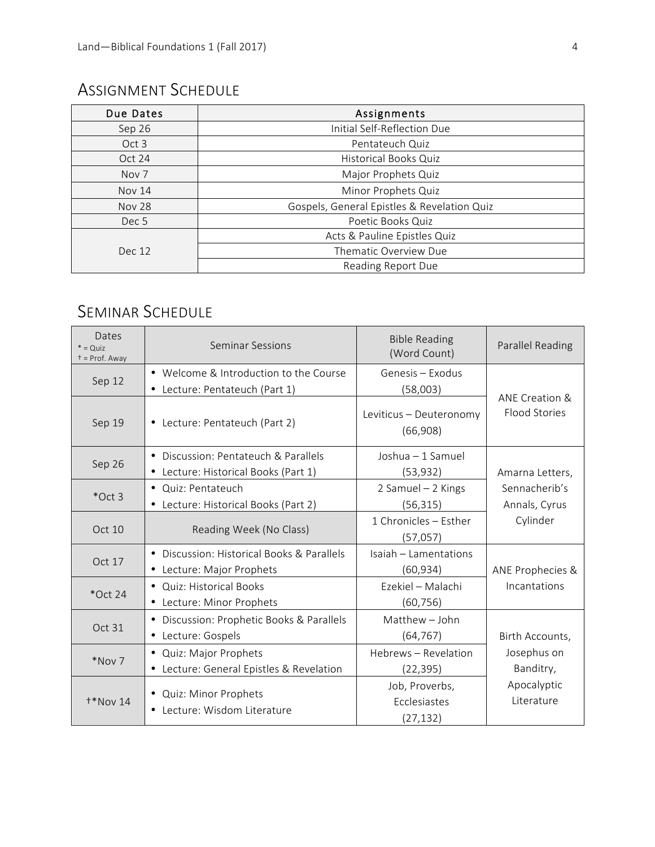# ASSIGNMENT SCHEDULE

| Due Dates        | Assignments                                 |  |  |
|------------------|---------------------------------------------|--|--|
| Sep 26           | Initial Self-Reflection Due                 |  |  |
| Oct 3            | Pentateuch Quiz                             |  |  |
| Oct 24           | <b>Historical Books Quiz</b>                |  |  |
| Nov <sub>7</sub> | Major Prophets Quiz                         |  |  |
| <b>Nov 14</b>    | Minor Prophets Quiz                         |  |  |
| <b>Nov 28</b>    | Gospels, General Epistles & Revelation Quiz |  |  |
| Dec 5            | Poetic Books Quiz                           |  |  |
|                  | Acts & Pauline Epistles Quiz                |  |  |
| Dec 12           | Thematic Overview Due                       |  |  |
|                  | Reading Report Due                          |  |  |

# SEMINAR SCHEDULE

| Dates<br>$* = Quiz$<br>+ = Prof. Away | <b>Seminar Sessions</b>                                | <b>Bible Reading</b><br>(Word Count) | Parallel Reading                       |
|---------------------------------------|--------------------------------------------------------|--------------------------------------|----------------------------------------|
|                                       | • Welcome & Introduction to the Course                 | Genesis - Exodus                     |                                        |
| Sep 12                                | • Lecture: Pentateuch (Part 1)                         | (58,003)                             |                                        |
| Sep 19                                | • Lecture: Pentateuch (Part 2)                         | Leviticus - Deuteronomy<br>(66,908)  | ANE Creation &<br><b>Flood Stories</b> |
|                                       | • Discussion: Pentateuch & Parallels                   | Joshua - 1 Samuel                    |                                        |
| Sep 26                                | • Lecture: Historical Books (Part 1)                   | (53, 932)                            | Amarna Letters,                        |
|                                       | • Quiz: Pentateuch                                     | 2 Samuel - 2 Kings                   | Sennacherib's                          |
| $*$ Oct 3                             | • Lecture: Historical Books (Part 2)                   | (56, 315)                            | Annals, Cyrus                          |
| Oct 10                                | Reading Week (No Class)                                | 1 Chronicles - Esther                | Cylinder                               |
|                                       |                                                        | (57,057)                             |                                        |
|                                       | • Discussion: Historical Books & Parallels             | Isaiah - Lamentations                |                                        |
| Oct 17                                | • Lecture: Major Prophets                              | (60, 934)                            | ANE Prophecies &                       |
| $*$ Oct 24                            | • Quiz: Historical Books                               | Ezekiel - Malachi                    | Incantations                           |
|                                       | • Lecture: Minor Prophets                              | (60,756)                             |                                        |
| Oct 31                                | • Discussion: Prophetic Books & Parallels              | Matthew - John                       |                                        |
|                                       | • Lecture: Gospels                                     | (64, 767)                            | Birth Accounts,                        |
| *Nov 7                                | • Quiz: Major Prophets                                 | Hebrews - Revelation                 | Josephus on                            |
|                                       | • Lecture: General Epistles & Revelation               | (22,395)                             | Banditry,                              |
| $+*$ Nov 14                           | • Quiz: Minor Prophets<br>• Lecture: Wisdom Literature | Job, Proverbs,                       | Apocalyptic                            |
|                                       |                                                        | Ecclesiastes                         | Literature                             |
|                                       |                                                        | (27, 132)                            |                                        |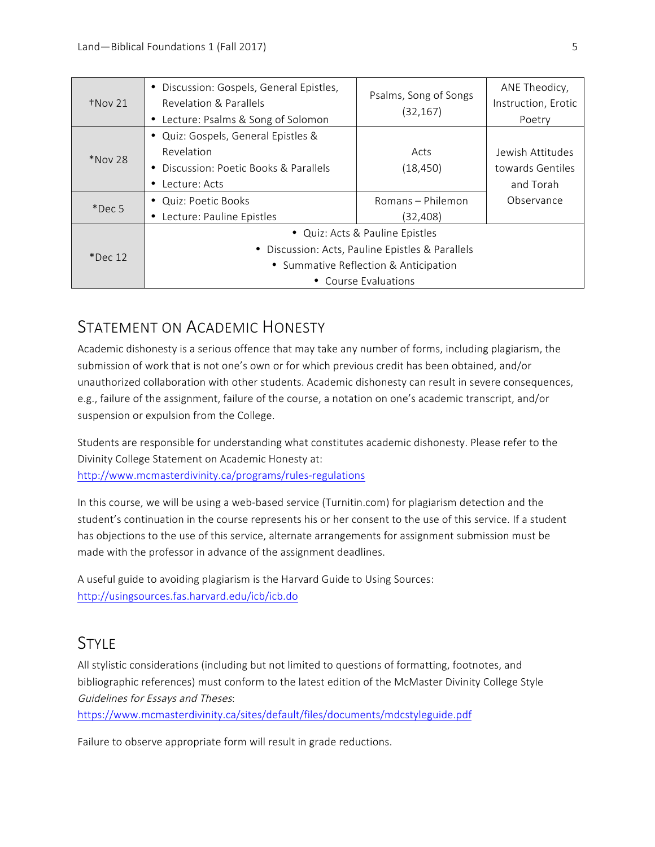| $\dagger$ Nov 21 | • Discussion: Gospels, General Epistles,<br>Revelation & Parallels<br>• Lecture: Psalms & Song of Solomon                                            | Psalms, Song of Songs<br>(32, 167) | ANE Theodicy,<br>Instruction, Erotic<br>Poetry    |
|------------------|------------------------------------------------------------------------------------------------------------------------------------------------------|------------------------------------|---------------------------------------------------|
| *Nov 28          | • Quiz: Gospels, General Epistles &<br>Revelation<br>• Discussion: Poetic Books & Parallels<br>Lecture: Acts                                         | Acts<br>(18, 450)                  | Jewish Attitudes<br>towards Gentiles<br>and Torah |
| $*$ Dec 5        | • Quiz: Poetic Books<br>• Lecture: Pauline Epistles                                                                                                  | Romans - Philemon<br>(32,408)      | Observance                                        |
| $*$ Dec 12       | • Quiz: Acts & Pauline Epistles<br>• Discussion: Acts, Pauline Epistles & Parallels<br>• Summative Reflection & Anticipation<br>• Course Evaluations |                                    |                                                   |

## STATEMENT ON ACADEMIC HONESTY

Academic dishonesty is a serious offence that may take any number of forms, including plagiarism, the submission of work that is not one's own or for which previous credit has been obtained, and/or unauthorized collaboration with other students. Academic dishonesty can result in severe consequences, e.g., failure of the assignment, failure of the course, a notation on one's academic transcript, and/or suspension or expulsion from the College.

Students are responsible for understanding what constitutes academic dishonesty. Please refer to the Divinity College Statement on Academic Honesty at: http://www.mcmasterdivinity.ca/programs/rules-regulations

In this course, we will be using a web-based service (Turnitin.com) for plagiarism detection and the student's continuation in the course represents his or her consent to the use of this service. If a student has objections to the use of this service, alternate arrangements for assignment submission must be made with the professor in advance of the assignment deadlines.

A useful guide to avoiding plagiarism is the Harvard Guide to Using Sources: http://usingsources.fas.harvard.edu/icb/icb.do

## STYL<sub>F</sub>

All stylistic considerations (including but not limited to questions of formatting, footnotes, and bibliographic references) must conform to the latest edition of the McMaster Divinity College Style Guidelines for Essays and Theses:

https://www.mcmasterdivinity.ca/sites/default/files/documents/mdcstyleguide.pdf

Failure to observe appropriate form will result in grade reductions.